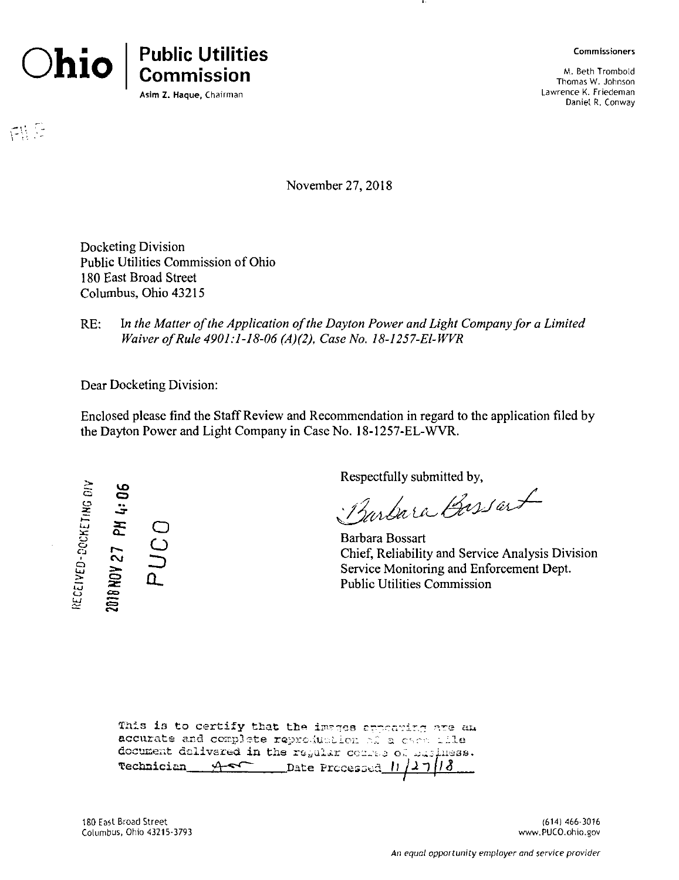

网是

**Commission** Asim Z. Haque, Chairman

**Commissioners**

M. Beth Tromboid Thomas W. Johnson Lawrence K. Friedeman Daniel R. Conway

November 27, 2018

Docketing Division Public Utilities Commission of Ohio 180 East Broad Street Columbus, Ohio 43215

*RE:* In the Matter of the *Application* of the Dayton Power and Light Company for a Limited *Waiver ofRule 4901:1-18-06 (A)(2), Case No. 18-1257-El-WVR*

Dear Docketing Division:

Enclosed please find the StaffReview and Recommendation in regard to the application filed by the Dayton Power and Light Company in Case No. 18-1257-EL-WVR.

**o** *X* UJ **ic** o **0** C-J 1 Q **tu** UJ **Uj o** VO O *s* **O C**<br>**D**<br>**D** s 定 <br>定 **C=3 CSI**

Respectfully submitted by,

Barbara Bassant

Barbara Bossart Chief, Reliability and Service Analysis Division Service Monitoring and Enforcement Dept. Public Utilities Commission

| This is to certify that the images appearing are am  |  |  |  |
|------------------------------------------------------|--|--|--|
| accurate and complete reproduction of a card tile    |  |  |  |
| document delivered in the regular comme of masiness. |  |  |  |
| Technician As Date Processed 11/27/18                |  |  |  |

180 East Broad Street Columbus, Ohio 43215-3793

(614) 466-3016 www.PUCO.ohio.gov